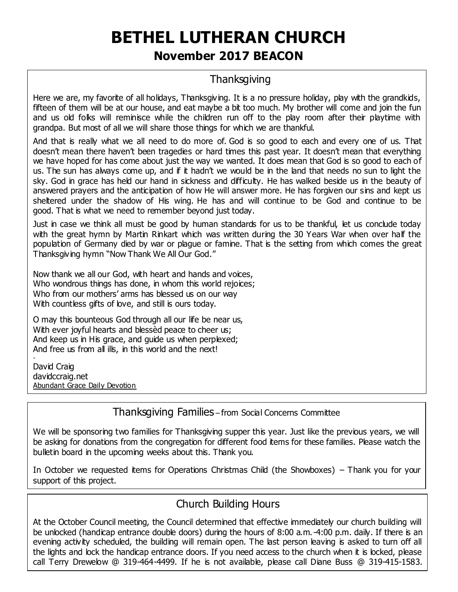# **BETHEL LUTHERAN CHURCH November 2017 BEACON**

## **Thanksgiving**

Here we are, my favorite of all holidays, Thanksgiving. It is a no pressure holiday, play with the grandkids, fifteen of them will be at our house, and eat maybe a bit too much. My brother will come and join the fun and us old folks will reminisce while the children run off to the play room after their playtime with grandpa. But most of all we will share those things for which we are thankful.

And that is really what we all need to do more of. God is so good to each and every one of us. That doesn't mean there haven't been tragedies or hard times this past year. It doesn't mean that everything we have hoped for has come about just the way we wanted. It does mean that God is so good to each of us. The sun has always come up, and if it hadn't we would be in the land that needs no sun to light the sky. God in grace has held our hand in sickness and difficulty. He has walked beside us in the beauty of answered prayers and the anticipation of how He will answer more. He has forgiven our sins and kept us sheltered under the shadow of His wing. He has and will continue to be God and continue to be good. That is what we need to remember beyond just today.

Just in case we think all must be good by human standards for us to be thankful, let us conclude today with the great hymn by Martin Rinkart which was written during the 30 Years War when over half the population of Germany died by war or plague or famine. That is the setting from which comes the great Thanksgiving hymn "Now Thank We All Our God."

Now thank we all our God, with heart and hands and voices, Who wondrous things has done, in whom this world rejoices; Who from our mothers' arms has blessed us on our way With countless gifts of love, and still is ours today.

O may this bounteous God through all our life be near us, With ever joyful hearts and blessed peace to cheer us; And keep us in His grace, and guide us when perplexed; And free us from all ills, in this world and the next!

David Craig davidccraig.net Abundant Grace Daily Devotion

-

Thank you are also assumed to

Thanksgiving Families – from Social Concerns Committee

We will be sponsoring two families for Thanksgiving supper this year. Just like the previous years, we will be asking for donations from the congregation for different food items for these families. Please watch the bulletin board in the upcoming weeks about this. Thank you.

In October we requested items for Operations Christmas Child (the Showboxes) – Thank you for your support of this project.

## Church Building Hours

At the October Council meeting, the Council determined that effective immediately our church building will be unlocked (handicap entrance double doors) during the hours of 8:00 a.m.-4:00 p.m. daily. If there is an evening activity scheduled, the building will remain open. The last person leaving is asked to turn off all the lights and lock the handicap entrance doors. If you need access to the church when it is locked, please call Terry Drewelow @ 319-464-4499. If he is not available, please call Diane Buss @ 319-415-1583.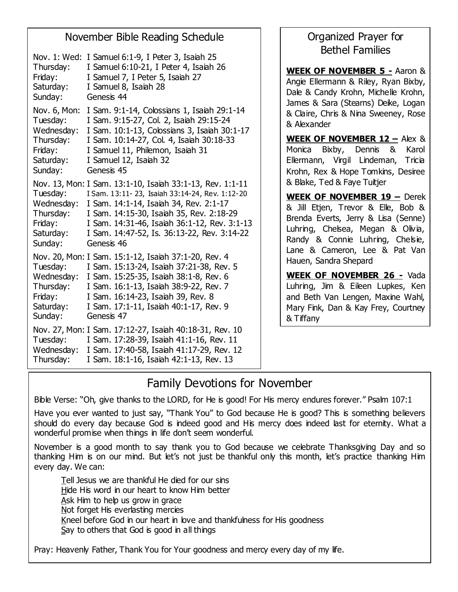## November Bible Reading Schedule

| Nov. 1: Wed:<br>Thursday:<br>Friday:<br>Saturday:<br>Sunday:                           | I Samuel 6:1-9, I Peter 3, Isaiah 25<br>I Samuel 6:10-21, I Peter 4, Isaiah 26<br>I Samuel 7, I Peter 5, Isaiah 27<br>I Samuel 8, Isaiah 28<br>Genesis 44                                                                                                                                                      |
|----------------------------------------------------------------------------------------|----------------------------------------------------------------------------------------------------------------------------------------------------------------------------------------------------------------------------------------------------------------------------------------------------------------|
| Nov. 6, Mon:<br>Tuesday:<br>Wednesday:<br>Thursday:<br>Friday:<br>Saturday:<br>Sunday: | I Sam. 9:1-14, Colossians 1, Isaiah 29:1-14<br>I Sam. 9:15-27, Col. 2, Isaiah 29:15-24<br>I Sam. 10:1-13, Colossians 3, Isaiah 30:1-17<br>I Sam. 10:14-27, Col. 4, Isaiah 30:18-33<br>I Samuel 11, Philemon, Isaiah 31<br>I Samuel 12, Isaiah 32<br>Genesis 45                                                 |
| Tuesday:<br>Wednesday:<br>Thursday:<br>Friday:<br>Saturday:<br>Sunday:                 | Nov. 13, Mon: I Sam. 13:1-10, Isaiah 33:1-13, Rev. 1:1-11<br>I Sam. 13:11-23, Isaiah 33:14-24, Rev. 1:12-20<br>I Sam. 14:1-14, Isaiah 34, Rev. 2:1-17<br>I Sam. 14:15-30, Isaiah 35, Rev. 2:18-29<br>I Sam. 14:31-46, Isaiah 36:1-12, Rev. 3:1-13<br>I Sam. 14:47-52, Is. 36:13-22, Rev. 3:14-22<br>Genesis 46 |
| Tuesday:<br>Wednesday:<br>Thursday:<br>Friday:<br>Saturday:<br>Sunday:                 | Nov. 20, Mon: I Sam. 15:1-12, Isaiah 37:1-20, Rev. 4<br>I Sam. 15:13-24, Isaiah 37:21-38, Rev. 5<br>I Sam. 15:25-35, Isaiah 38:1-8, Rev. 6<br>I Sam. 16:1-13, Isaiah 38:9-22, Rev. 7<br>I Sam. 16:14-23, Isaiah 39, Rev. 8<br>I Sam. 17:1-11, Isaiah 40:1-17, Rev. 9<br>Genesis 47                             |
| Tuesday:<br>Wednesday:<br>Thursday:                                                    | Nov. 27, Mon: I Sam. 17:12-27, Isaiah 40:18-31, Rev. 10<br>I Sam. 17:28-39, Isaiah 41:1-16, Rev. 11<br>I Sam. 17:40-58, Isaiah 41:17-29, Rev. 12<br>I Sam. 18:1-16, Isaiah 42:1-13, Rev. 13                                                                                                                    |

## Organized Prayer for Bethel Families

**WEEK OF NOVEMBER 5 -** Aaron & Angie Ellermann & Riley, Ryan Bixby, Dale & Candy Krohn, Michelle Krohn, James & Sara (Stearns) Deike, Logan & Claire, Chris & Nina Sweeney, Rose & Alexander

**WEEK OF NOVEMBER 12 –** Alex & Monica Bixby, Dennis & Karol Ellermann, Virgil Lindeman, Tricia Krohn, Rex & Hope Tomkins, Desiree & Blake, Ted & Faye Tuitjer

**WEEK OF NOVEMBER 19 –** Derek & Jill Etjen, Trevor & Elle, Bob & Brenda Everts, Jerry & Lisa (Senne) Luhring, Chelsea, Megan & Olivia. Randy & Connie Luhring, Chelsie, Lane & Cameron, Lee & Pat Van Hauen, Sandra Shepard

**WEEK OF NOVEMBER 26 -** Vada Luhring, Jim & Eileen Lupkes, Ken and Beth Van Lengen, Maxine Wahl, Mary Fink, Dan & Kay Frey, Courtney & Tiffany

## Family Devotions for November

Bible Verse: "Oh, give thanks to the LORD, for He is good! For His mercy endures forever." Psalm 107:1

Have you ever wanted to just say, "Thank You" to God because He is good? This is something believers should do every day because God is indeed good and His mercy does indeed last for eternity. What a wonderful promise when things in life don't seem wonderful.

November is a good month to say thank you to God because we celebrate Thanksgiving Day and so thanking Him is on our mind. But let's not just be thankful only this month, let's practice thanking Him every day. We can:

Tell Jesus we are thankful He died for our sins Hide His word in our heart to know Him better Ask Him to help us grow in grace Not forget His everlasting mercies Kneel before God in our heart in love and thankfulness for His goodness Say to others that God is good in all things

Pray: Heavenly Father, Thank You for Your goodness and mercy every day of my life.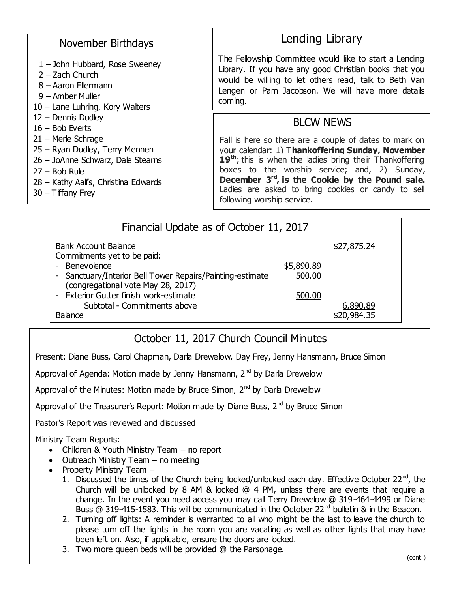#### November Birthdays

- 1 John Hubbard, Rose Sweeney
- 2 Zach Church
- 8 Aaron Ellermann
- 9 Amber Muller
- 10 Lane Luhring, Kory Walters
- 12 Dennis Dudley
- 16 Bob Everts
- 21 Merle Schrage
- 25 Ryan Dudley, Terry Mennen
- 26 JoAnne Schwarz, Dale Stearns
- 27 Bob Rule
- 28 Kathy Aalfs, Christina Edwards
- $30 -$ Tiffany Frey

## Lending Library

The Fellowship Committee would like to start a Lending Library. If you have any good Christian books that you would be willing to let others read, talk to Beth Van Lengen or Pam Jacobson. We will have more details coming.

## BLCW NEWS

Fall is here so there are a couple of dates to mark on your calendar: 1) T**hankoffering Sunday, November**  19<sup>th</sup>; this is when the ladies bring their Thankoffering boxes to the worship service; and, 2) Sunday, **December 3rd , is the Cookie by the Pound sale.** Ladies are asked to bring cookies or candy to sell following worship service.

| Financial Update as of October 11, 2017                                                       |            |                         |  |  |
|-----------------------------------------------------------------------------------------------|------------|-------------------------|--|--|
| Bank Account Balance<br>Commitments yet to be paid:                                           |            | \$27,875.24             |  |  |
| Benevolence                                                                                   | \$5,890.89 |                         |  |  |
| Sanctuary/Interior Bell Tower Repairs/Painting-estimate<br>(congregational vote May 28, 2017) | 500.00     |                         |  |  |
| Exterior Gutter finish work-estimate                                                          | 500.00     |                         |  |  |
| Subtotal - Commitments above<br><b>Balance</b>                                                |            | 6,890.89<br>\$20,984.35 |  |  |

## October 11, 2017 Church Council Minutes

Present: Diane Buss, Carol Chapman, Darla Drewelow, Day Frey, Jenny Hansmann, Bruce Simon

Approval of Agenda: Motion made by Jenny Hansmann, 2<sup>nd</sup> by Darla Drewelow

Approval of the Minutes: Motion made by Bruce Simon,  $2<sup>nd</sup>$  by Darla Drewelow

Approval of the Treasurer's Report: Motion made by Diane Buss,  $2^{nd}$  by Bruce Simon

Pastor's Report was reviewed and discussed

Ministry Team Reports:

- Children & Youth Ministry Team no report
- $\bullet$  Outreach Ministry Team no meeting
- Property Ministry Team  $-$ 
	- 1. Discussed the times of the Church being locked/unlocked each day. Effective October 22<sup>nd</sup>, the Church will be unlocked by 8 AM & locked @ 4 PM, unless there are events that require a change. In the event you need access you may call Terry Drewelow @ 319-464-4499 or Diane Buss  $@$  319-415-1583. This will be communicated in the October 22<sup>nd</sup> bulletin & in the Beacon.
	- 2. Turning off lights: A reminder is warranted to all who might be the last to leave the church to please turn off the lights in the room you are vacating as well as other lights that may have been left on. Also, if applicable, ensure the doors are locked.
	- 3. Two more queen beds will be provided @ the Parsonage.

(cont.)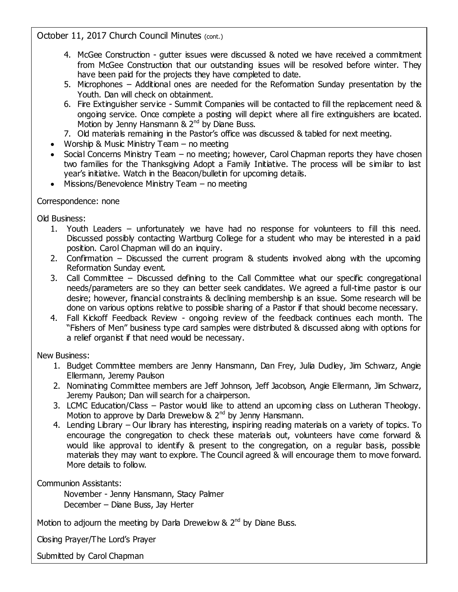October 11, 2017 Church Council Minutes (cont.)

- 4. McGee Construction gutter issues were discussed & noted we have received a commitment from McGee Construction that our outstanding issues will be resolved before winter. They have been paid for the projects they have completed to date.
- 5. Microphones Additional ones are needed for the Reformation Sunday presentation by the Youth. Dan will check on obtainment.
- 6. Fire Extinguisher service Summit Companies will be contacted to fill the replacement need & ongoing service. Once complete a posting will depict where all fire extinguishers are located. Motion by Jenny Hansmann & 2<sup>nd</sup> by Diane Buss.
- 7. Old materials remaining in the Pastor's office was discussed & tabled for next meeting.
- Worship & Music Ministry Team  $-$  no meeting
- Social Concerns Ministry Team no meeting; however, Carol Chapman reports they have chosen two families for the Thanksgiving Adopt a Family Initiative. The process will be similar to last year's initiative. Watch in the Beacon/bulletin for upcoming details.
- $\bullet$  Missions/Benevolence Ministry Team no meeting

#### Correspondence: none

Old Business:

- 1. Youth Leaders unfortunately we have had no response for volunteers to fill this need. Discussed possibly contacting Wartburg College for a student who may be interested in a paid position. Carol Chapman will do an inquiry.
- 2. Confirmation Discussed the current program & students involved along with the upcoming Reformation Sunday event.
- 3. Call Committee Discussed defining to the Call Committee what our specific congregational needs/parameters are so they can better seek candidates. We agreed a full-time pastor is our desire; however, financial constraints & declining membership is an issue. Some research will be done on various options relative to possible sharing of a Pastor if that should become necessary.
- 4. Fall Kickoff Feedback Review ongoing review of the feedback continues each month. The "Fishers of Men" business type card samples were distributed & discussed along with options for a relief organist if that need would be necessary.

New Business:

- 1. Budget Committee members are Jenny Hansmann, Dan Frey, Julia Dudley, Jim Schwarz, Angie Ellermann, Jeremy Paulson
- 2. Nominating Committee members are Jeff Johnson, Jeff Jacobson, Angie Ellermann, Jim Schwarz, Jeremy Paulson; Dan will search for a chairperson.
- 3. LCMC Education/Class Pastor would like to attend an upcoming class on Lutheran Theology. Motion to approve by Darla Drewelow &  $2^{nd}$  by Jenny Hansmann.
- 4. Lending Library Our library has interesting, inspiring reading materials on a variety of topics. To encourage the congregation to check these materials out, volunteers have come forward & would like approval to identify & present to the congregation, on a regular basis, possible materials they may want to explore. The Council agreed & will encourage them to move forward. More details to follow.

Communion Assistants:

November - Jenny Hansmann, Stacy Palmer December – Diane Buss, Jay Herter

Motion to adjourn the meeting by Darla Drewelow  $\& 2<sup>nd</sup>$  by Diane Buss.

Closing Prayer/The Lord's Prayer

Submitted by Carol Chapman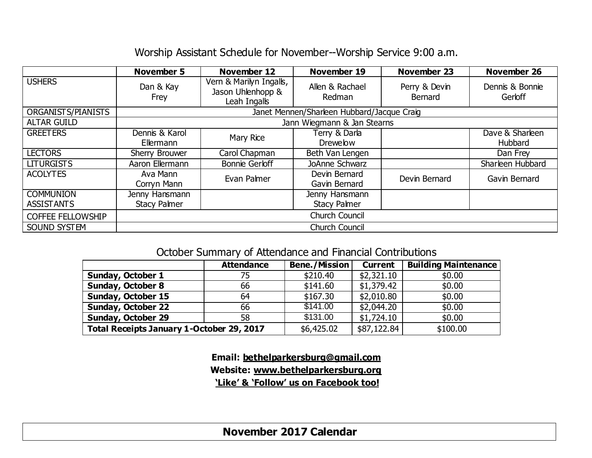## Worship Assistant Schedule for November--Worship Service 9:00 a.m.

|                          | <b>November 5</b>                          | <b>November 12</b>                                           | <b>November 19</b>        | <b>November 23</b>       | November 26                |  |
|--------------------------|--------------------------------------------|--------------------------------------------------------------|---------------------------|--------------------------|----------------------------|--|
| <b>USHERS</b>            | Dan & Kay<br>Frey                          | Vern & Marilyn Ingalls,<br>Jason Uhlenhopp &<br>Leah Ingalls | Allen & Rachael<br>Redman | Perry & Devin<br>Bernard | Dennis & Bonnie<br>Gerloff |  |
| ORGANISTS/PIANISTS       | Janet Mennen/Sharleen Hubbard/Jacque Craig |                                                              |                           |                          |                            |  |
| <b>ALTAR GUILD</b>       | Jann Wiegmann & Jan Stearns                |                                                              |                           |                          |                            |  |
| <b>GREETERS</b>          | Dennis & Karol                             | Mary Rice                                                    | Terry & Darla             |                          | Dave & Sharleen            |  |
|                          | Ellermann                                  |                                                              | <b>Drewelow</b>           |                          | Hubbard                    |  |
| <b>LECTORS</b>           | Sherry Brouwer                             | Carol Chapman                                                | Beth Van Lengen           |                          | Dan Frey                   |  |
| <b>LITURGISTS</b>        | Aaron Ellermann                            | <b>Bonnie Gerloff</b>                                        | JoAnne Schwarz            |                          | Sharleen Hubbard           |  |
| <b>ACOLYTES</b>          | Ava Mann                                   | Evan Palmer                                                  | Devin Bernard             | Devin Bernard            | Gavin Bernard              |  |
|                          | Corryn Mann                                |                                                              | Gavin Bernard             |                          |                            |  |
| <b>COMMUNION</b>         | Jenny Hansmann                             |                                                              | Jenny Hansmann            |                          |                            |  |
| <b>ASSISTANTS</b>        | <b>Stacy Palmer</b>                        |                                                              | <b>Stacy Palmer</b>       |                          |                            |  |
| <b>COFFEE FELLOWSHIP</b> | <b>Church Council</b>                      |                                                              |                           |                          |                            |  |
| SOUND SYSTEM             | <b>Church Council</b>                      |                                                              |                           |                          |                            |  |

## October Summary of Attendance and Financial Contributions

|                                           | <b>Attendance</b> | <b>Bene./Mission</b> | <b>Current</b> | <b>Building Maintenance</b> |
|-------------------------------------------|-------------------|----------------------|----------------|-----------------------------|
| <b>Sunday, October 1</b>                  | 75.               | \$210.40             | \$2,321.10     | \$0.00                      |
| <b>Sunday, October 8</b>                  | 66                | \$141.60             | \$1,379.42     | \$0.00                      |
| Sunday, October 15                        | 64                | \$167.30             | \$2,010.80     | \$0.00                      |
| <b>Sunday, October 22</b>                 | 66                | \$141.00             | \$2,044.20     | \$0.00                      |
| <b>Sunday, October 29</b>                 | 58                | \$131.00             | \$1,724.10     | \$0.00                      |
| Total Receipts January 1-October 29, 2017 |                   | \$6,425.02           | \$87,122.84    | \$100.00                    |

**Email: [bethelparkersburg@gmail.com](mailto:bethelparkersburg@gmail.com) Website: [www.bethelparkersburg.org](http://www.bethelparkersburg.org/) 'Like' & 'Follow' us on Facebook too!**